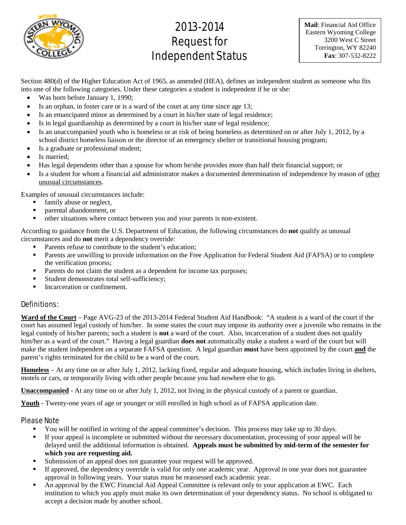

# 2013-2014 Request for Independent Status

**Mail**: Financial Aid Office Eastern Wyoming College 3200 West C Street Torrington, WY 82240 **Fax**: 307-532-8222

Section 480(d) of the Higher Education Act of 1965, as amended (HEA), defines an independent student as someone who fits into one of the following categories. Under these categories a student is independent if he or she:

- Was born before January 1, 1990;
- Is an orphan, in foster care or is a ward of the court at any time since age 13;
- Is an emancipated minor as determined by a court in his/her state of legal residence;
- Is in legal guardianship as determined by a court in his/her state of legal residence;
- Is an unaccompanied youth who is homeless or at risk of being homeless as determined on or after July 1, 2012, by a school district homeless liaison or the director of an emergency shelter or transitional housing program;
- Is a graduate or professional student;
- Is married;
- Has legal dependents other than a spouse for whom he/she provides more than half their financial support; or
- Is a student for whom a financial aid administrator makes a documented determination of independence by reason of other unusual circumstances.

Examples of unusual circumstances include:

- family abuse or neglect,
- **•** parental abandonment, or<br> **•** other situations where con
- other situations where contact between you and your parents is non-existent.

According to guidance from the U.S. Department of Education, the following circumstances do **not** qualify as unusual circumstances and do **not** merit a dependency override:

- Parents refuse to contribute to the student's education;
- **Parents are unwilling to provide information on the Free Application for Federal Student Aid (FAFSA) or to complete** the verification process;
- Parents do not claim the student as a dependent for income tax purposes;
- Student demonstrates total self-sufficiency;
- **Incarceration or confinement.**

## Definitions:

**Ward of the Court** – Page AVG-23 of the 2013-2014 Federal Student Aid Handbook: "A student is a ward of the court if the court has assumed legal custody of him/her. In some states the court may impose its authority over a juvenile who remains in the legal custody of his/her parents; such a student is **not** a ward of the court. Also, incarceration of a student does not qualify him/her as a ward of the court." Having a legal guardian **does not** automatically make a student a ward of the court but will make the student independent on a separate FAFSA question. A legal guardian **must** have been appointed by the court **and** the parent's rights terminated for the child to be a ward of the court.

**Homeless** – At any time on or after July 1, 2012, lacking fixed, regular and adequate housing, which includes living in shelters, motels or cars, or temporarily living with other people because you had nowhere else to go.

**Unaccompanied** - At any time on or after July 1, 2012, not living in the physical custody of a parent or guardian.

**Youth** - Twenty-one years of age or younger or still enrolled in high school as of FAFSA application date.

## Please Note

- You will be notified in writing of the appeal committee's decision. This process may take up to 30 days.
- If your appeal is incomplete or submitted without the necessary documentation, processing of your appeal will be delayed until the additional information is obtained. **Appeals must be submitted by mid-term of the semester for which you are requesting aid.**
- Submission of an appeal does not guarantee your request will be approved.
- If approved, the dependency override is valid for only one academic year. Approval in one year does not guarantee approval in following years. Your status must be reassessed each academic year.
- An approval by the EWC Financial Aid Appeal Committee is relevant only to your application at EWC. Each institution to which you apply must make its own determination of your dependency status. No school is obligated to accept a decision made by another school.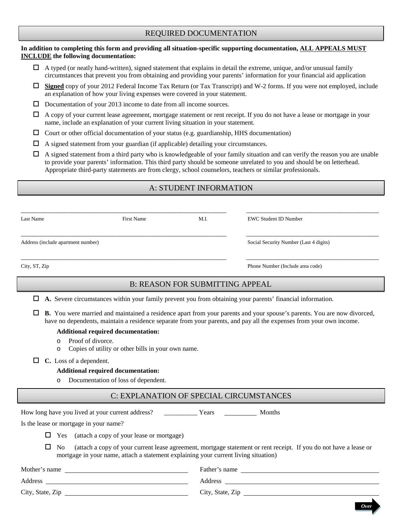# REQUIRED DOCUMENTATION

#### **In addition to completing this form and providing all situation-specific supporting documentation, ALL APPEALS MUST INCLUDE the following documentation:**

- $\Box$  A typed (or neatly hand-written), signed statement that explains in detail the extreme, unique, and/or unusual family circumstances that prevent you from obtaining and providing your parents' information for your financial aid application
- **Signed** copy of your 2012 Federal Income Tax Return (or Tax Transcript) and W-2 forms. If you were not employed, include an explanation of how your living expenses were covered in your statement.
- $\Box$  Documentation of your 2013 income to date from all income sources.
- $\Box$  A copy of your current lease agreement, mortgage statement or rent receipt. If you do not have a lease or mortgage in your name, include an explanation of your current living situation in your statement.
- $\Box$  Court or other official documentation of your status (e.g. guardianship, HHS documentation)
- $\Box$  A signed statement from your guardian (if applicable) detailing your circumstances.
- $\Box$  A signed statement from a third party who is knowledgeable of your family situation and can verify the reason you are unable to provide your parents' information. This third party should be someone unrelated to you and should be on letterhead. Appropriate third-party statements are from clergy, school counselors, teachers or similar professionals.

# A: STUDENT INFORMATION

| M.I.<br>Last Name<br><b>First Name</b> |  | <b>EWC Student ID Number</b>           |  |  |
|----------------------------------------|--|----------------------------------------|--|--|
| Address (include apartment number)     |  | Social Security Number (Last 4 digits) |  |  |
| City, ST, Zip                          |  | Phone Number (Include area code)       |  |  |

# B: REASON FOR SUBMITTING APPEAL

|  | $\Box$ A. Severe circumstances within your family prevent you from obtaining your parents' financial information. |  |  |  |  |  |
|--|-------------------------------------------------------------------------------------------------------------------|--|--|--|--|--|
|  |                                                                                                                   |  |  |  |  |  |

 **B.** You were married and maintained a residence apart from your parents and your spouse's parents. You are now divorced, have no dependents, maintain a residence separate from your parents, and pay all the expenses from your own income.

#### **Additional required documentation:**

- $\circ$  Proof of divorce.
- Copies of utility or other bills in your own name.
- **C.** Loss of a dependent.

#### **Additional required documentation:**

o Documentation of loss of dependent.

# C: EXPLANATION OF SPECIAL CIRCUMSTANCES

How long have you lived at your current address? \_\_\_\_\_\_\_\_\_\_\_\_ Years \_\_\_\_\_\_\_\_\_\_\_ Months

*Over*

Is the lease or mortgage in your name?

 $\Box$  Yes (attach a copy of your lease or mortgage)

 $\Box$  No (attach a copy of your current lease agreement, mortgage statement or rent receipt. If you do not have a lease or mortgage in your name, attach a statement explaining your current living situation)

| Mother's name    | Father's name    |
|------------------|------------------|
| Address          | Address          |
| City, State, Zip | City, State, Zip |